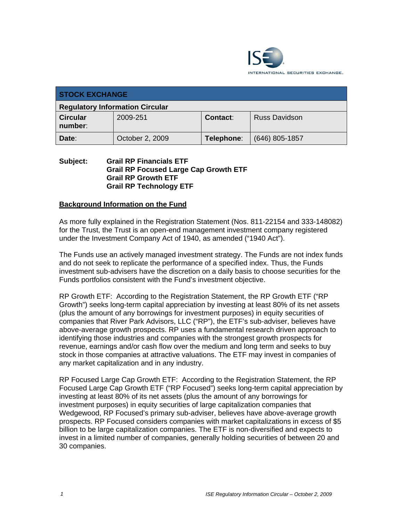

| <b>STOCK EXCHANGE</b>                  |                 |            |                      |  |
|----------------------------------------|-----------------|------------|----------------------|--|
| <b>Regulatory Information Circular</b> |                 |            |                      |  |
| <b>Circular</b><br>number:             | 2009-251        | Contact:   | <b>Russ Davidson</b> |  |
| Date:                                  | October 2, 2009 | Telephone: | $(646)$ 805-1857     |  |

#### **Subject: Grail RP Financials ETF Grail RP Focused Large Cap Growth ETF Grail RP Growth ETF Grail RP Technology ETF**

## **Background Information on the Fund**

As more fully explained in the Registration Statement (Nos. 811-22154 and 333-148082) for the Trust, the Trust is an open-end management investment company registered under the Investment Company Act of 1940, as amended ("1940 Act").

The Funds use an actively managed investment strategy. The Funds are not index funds and do not seek to replicate the performance of a specified index. Thus, the Funds investment sub-advisers have the discretion on a daily basis to choose securities for the Funds portfolios consistent with the Fund's investment objective.

RP Growth ETF: According to the Registration Statement, the RP Growth ETF ("RP Growth") seeks long-term capital appreciation by investing at least 80% of its net assets (plus the amount of any borrowings for investment purposes) in equity securities of companies that River Park Advisors, LLC ("RP"), the ETF's sub-adviser, believes have above-average growth prospects. RP uses a fundamental research driven approach to identifying those industries and companies with the strongest growth prospects for revenue, earnings and/or cash flow over the medium and long term and seeks to buy stock in those companies at attractive valuations. The ETF may invest in companies of any market capitalization and in any industry.

RP Focused Large Cap Growth ETF: According to the Registration Statement, the RP Focused Large Cap Growth ETF ("RP Focused") seeks long-term capital appreciation by investing at least 80% of its net assets (plus the amount of any borrowings for investment purposes) in equity securities of large capitalization companies that Wedgewood, RP Focused's primary sub-adviser, believes have above-average growth prospects. RP Focused considers companies with market capitalizations in excess of \$5 billion to be large capitalization companies. The ETF is non-diversified and expects to invest in a limited number of companies, generally holding securities of between 20 and 30 companies.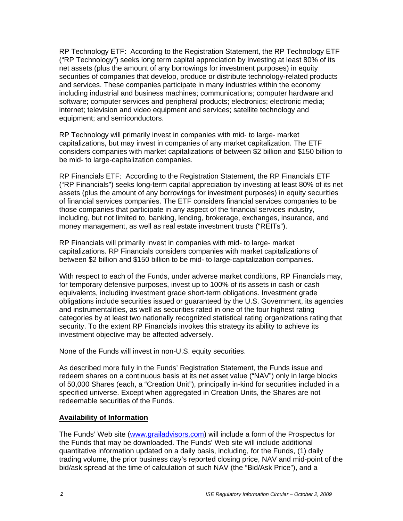RP Technology ETF: According to the Registration Statement, the RP Technology ETF ("RP Technology") seeks long term capital appreciation by investing at least 80% of its net assets (plus the amount of any borrowings for investment purposes) in equity securities of companies that develop, produce or distribute technology-related products and services. These companies participate in many industries within the economy including industrial and business machines; communications; computer hardware and software; computer services and peripheral products; electronics; electronic media; internet; television and video equipment and services; satellite technology and equipment; and semiconductors.

RP Technology will primarily invest in companies with mid- to large- market capitalizations, but may invest in companies of any market capitalization. The ETF considers companies with market capitalizations of between \$2 billion and \$150 billion to be mid- to large-capitalization companies.

RP Financials ETF: According to the Registration Statement, the RP Financials ETF ("RP Financials") seeks long-term capital appreciation by investing at least 80% of its net assets (plus the amount of any borrowings for investment purposes) in equity securities of financial services companies. The ETF considers financial services companies to be those companies that participate in any aspect of the financial services industry, including, but not limited to, banking, lending, brokerage, exchanges, insurance, and money management, as well as real estate investment trusts ("REITs").

RP Financials will primarily invest in companies with mid- to large- market capitalizations. RP Financials considers companies with market capitalizations of between \$2 billion and \$150 billion to be mid- to large-capitalization companies.

With respect to each of the Funds, under adverse market conditions, RP Financials may, for temporary defensive purposes, invest up to 100% of its assets in cash or cash equivalents, including investment grade short-term obligations. Investment grade obligations include securities issued or guaranteed by the U.S. Government, its agencies and instrumentalities, as well as securities rated in one of the four highest rating categories by at least two nationally recognized statistical rating organizations rating that security. To the extent RP Financials invokes this strategy its ability to achieve its investment objective may be affected adversely.

None of the Funds will invest in non-U.S. equity securities.

As described more fully in the Funds' Registration Statement, the Funds issue and redeem shares on a continuous basis at its net asset value ("NAV") only in large blocks of 50,000 Shares (each, a "Creation Unit"), principally in-kind for securities included in a specified universe. Except when aggregated in Creation Units, the Shares are not redeemable securities of the Funds.

#### **Availability of Information**

The Funds' Web site (www.grailadvisors.com) will include a form of the Prospectus for the Funds that may be downloaded. The Funds' Web site will include additional quantitative information updated on a daily basis, including, for the Funds, (1) daily trading volume, the prior business day's reported closing price, NAV and mid-point of the bid/ask spread at the time of calculation of such NAV (the "Bid/Ask Price"), and a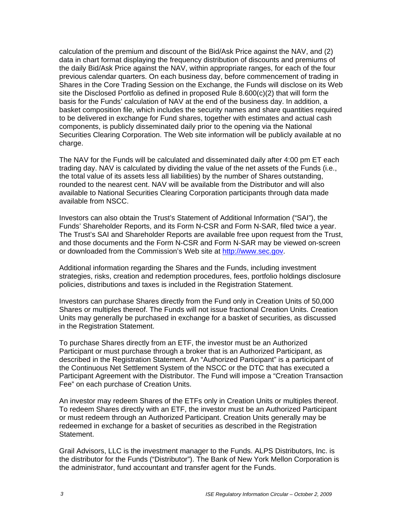calculation of the premium and discount of the Bid/Ask Price against the NAV, and (2) data in chart format displaying the frequency distribution of discounts and premiums of the daily Bid/Ask Price against the NAV, within appropriate ranges, for each of the four previous calendar quarters. On each business day, before commencement of trading in Shares in the Core Trading Session on the Exchange, the Funds will disclose on its Web site the Disclosed Portfolio as defined in proposed Rule 8.600(c)(2) that will form the basis for the Funds' calculation of NAV at the end of the business day. In addition, a basket composition file, which includes the security names and share quantities required to be delivered in exchange for Fund shares, together with estimates and actual cash components, is publicly disseminated daily prior to the opening via the National Securities Clearing Corporation. The Web site information will be publicly available at no charge.

The NAV for the Funds will be calculated and disseminated daily after 4:00 pm ET each trading day. NAV is calculated by dividing the value of the net assets of the Funds (i.e., the total value of its assets less all liabilities) by the number of Shares outstanding, rounded to the nearest cent. NAV will be available from the Distributor and will also available to National Securities Clearing Corporation participants through data made available from NSCC.

Investors can also obtain the Trust's Statement of Additional Information ("SAI"), the Funds' Shareholder Reports, and its Form N-CSR and Form N-SAR, filed twice a year. The Trust's SAI and Shareholder Reports are available free upon request from the Trust, and those documents and the Form N-CSR and Form N-SAR may be viewed on-screen or downloaded from the Commission's Web site at http://www.sec.gov.

Additional information regarding the Shares and the Funds, including investment strategies, risks, creation and redemption procedures, fees, portfolio holdings disclosure policies, distributions and taxes is included in the Registration Statement.

Investors can purchase Shares directly from the Fund only in Creation Units of 50,000 Shares or multiples thereof. The Funds will not issue fractional Creation Units. Creation Units may generally be purchased in exchange for a basket of securities, as discussed in the Registration Statement.

To purchase Shares directly from an ETF, the investor must be an Authorized Participant or must purchase through a broker that is an Authorized Participant, as described in the Registration Statement. An "Authorized Participant" is a participant of the Continuous Net Settlement System of the NSCC or the DTC that has executed a Participant Agreement with the Distributor. The Fund will impose a "Creation Transaction Fee" on each purchase of Creation Units.

An investor may redeem Shares of the ETFs only in Creation Units or multiples thereof. To redeem Shares directly with an ETF, the investor must be an Authorized Participant or must redeem through an Authorized Participant. Creation Units generally may be redeemed in exchange for a basket of securities as described in the Registration Statement.

Grail Advisors, LLC is the investment manager to the Funds. ALPS Distributors, Inc. is the distributor for the Funds ("Distributor"). The Bank of New York Mellon Corporation is the administrator, fund accountant and transfer agent for the Funds.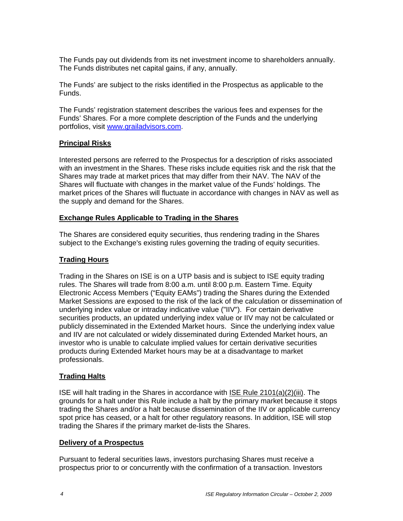The Funds pay out dividends from its net investment income to shareholders annually. The Funds distributes net capital gains, if any, annually.

The Funds' are subject to the risks identified in the Prospectus as applicable to the Funds.

The Funds' registration statement describes the various fees and expenses for the Funds' Shares. For a more complete description of the Funds and the underlying portfolios, visit www.grailadvisors.com.

# **Principal Risks**

Interested persons are referred to the Prospectus for a description of risks associated with an investment in the Shares. These risks include equities risk and the risk that the Shares may trade at market prices that may differ from their NAV. The NAV of the Shares will fluctuate with changes in the market value of the Funds' holdings. The market prices of the Shares will fluctuate in accordance with changes in NAV as well as the supply and demand for the Shares.

#### **Exchange Rules Applicable to Trading in the Shares**

The Shares are considered equity securities, thus rendering trading in the Shares subject to the Exchange's existing rules governing the trading of equity securities.

## **Trading Hours**

Trading in the Shares on ISE is on a UTP basis and is subject to ISE equity trading rules. The Shares will trade from 8:00 a.m. until 8:00 p.m. Eastern Time. Equity Electronic Access Members ("Equity EAMs") trading the Shares during the Extended Market Sessions are exposed to the risk of the lack of the calculation or dissemination of underlying index value or intraday indicative value ("IIV"). For certain derivative securities products, an updated underlying index value or IIV may not be calculated or publicly disseminated in the Extended Market hours. Since the underlying index value and IIV are not calculated or widely disseminated during Extended Market hours, an investor who is unable to calculate implied values for certain derivative securities products during Extended Market hours may be at a disadvantage to market professionals.

## **Trading Halts**

ISE will halt trading in the Shares in accordance with ISE Rule 2101(a)(2)(iii). The grounds for a halt under this Rule include a halt by the primary market because it stops trading the Shares and/or a halt because dissemination of the IIV or applicable currency spot price has ceased, or a halt for other regulatory reasons. In addition, ISE will stop trading the Shares if the primary market de-lists the Shares.

## **Delivery of a Prospectus**

Pursuant to federal securities laws, investors purchasing Shares must receive a prospectus prior to or concurrently with the confirmation of a transaction. Investors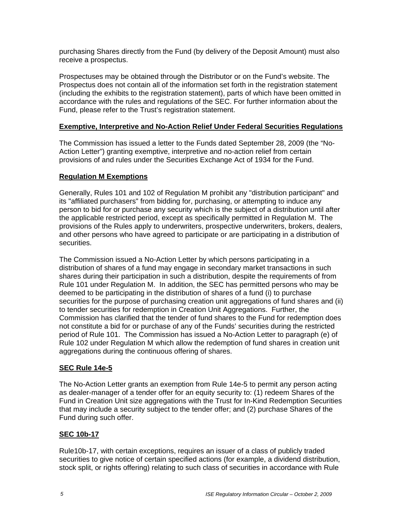purchasing Shares directly from the Fund (by delivery of the Deposit Amount) must also receive a prospectus.

Prospectuses may be obtained through the Distributor or on the Fund's website. The Prospectus does not contain all of the information set forth in the registration statement (including the exhibits to the registration statement), parts of which have been omitted in accordance with the rules and regulations of the SEC. For further information about the Fund, please refer to the Trust's registration statement.

# **Exemptive, Interpretive and No-Action Relief Under Federal Securities Regulations**

The Commission has issued a letter to the Funds dated September 28, 2009 (the "No-Action Letter") granting exemptive, interpretive and no-action relief from certain provisions of and rules under the Securities Exchange Act of 1934 for the Fund.

# **Regulation M Exemptions**

Generally, Rules 101 and 102 of Regulation M prohibit any "distribution participant" and its "affiliated purchasers" from bidding for, purchasing, or attempting to induce any person to bid for or purchase any security which is the subject of a distribution until after the applicable restricted period, except as specifically permitted in Regulation M. The provisions of the Rules apply to underwriters, prospective underwriters, brokers, dealers, and other persons who have agreed to participate or are participating in a distribution of securities.

The Commission issued a No-Action Letter by which persons participating in a distribution of shares of a fund may engage in secondary market transactions in such shares during their participation in such a distribution, despite the requirements of from Rule 101 under Regulation M. In addition, the SEC has permitted persons who may be deemed to be participating in the distribution of shares of a fund (i) to purchase securities for the purpose of purchasing creation unit aggregations of fund shares and (ii) to tender securities for redemption in Creation Unit Aggregations. Further, the Commission has clarified that the tender of fund shares to the Fund for redemption does not constitute a bid for or purchase of any of the Funds' securities during the restricted period of Rule 101. The Commission has issued a No-Action Letter to paragraph (e) of Rule 102 under Regulation M which allow the redemption of fund shares in creation unit aggregations during the continuous offering of shares.

## **SEC Rule 14e-5**

The No-Action Letter grants an exemption from Rule 14e-5 to permit any person acting as dealer-manager of a tender offer for an equity security to: (1) redeem Shares of the Fund in Creation Unit size aggregations with the Trust for In-Kind Redemption Securities that may include a security subject to the tender offer; and (2) purchase Shares of the Fund during such offer.

## **SEC 10b-17**

Rule10b-17, with certain exceptions, requires an issuer of a class of publicly traded securities to give notice of certain specified actions (for example, a dividend distribution, stock split, or rights offering) relating to such class of securities in accordance with Rule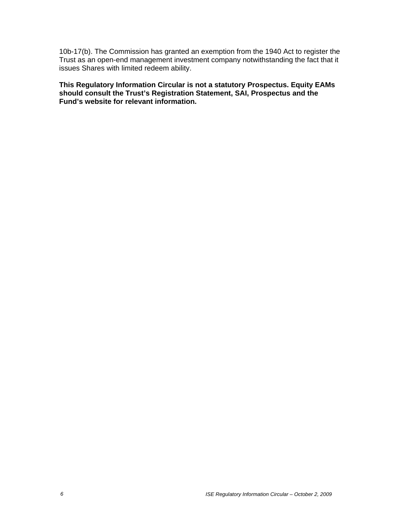10b-17(b). The Commission has granted an exemption from the 1940 Act to register the Trust as an open-end management investment company notwithstanding the fact that it issues Shares with limited redeem ability.

**This Regulatory Information Circular is not a statutory Prospectus. Equity EAMs should consult the Trust's Registration Statement, SAI, Prospectus and the Fund's website for relevant information.**